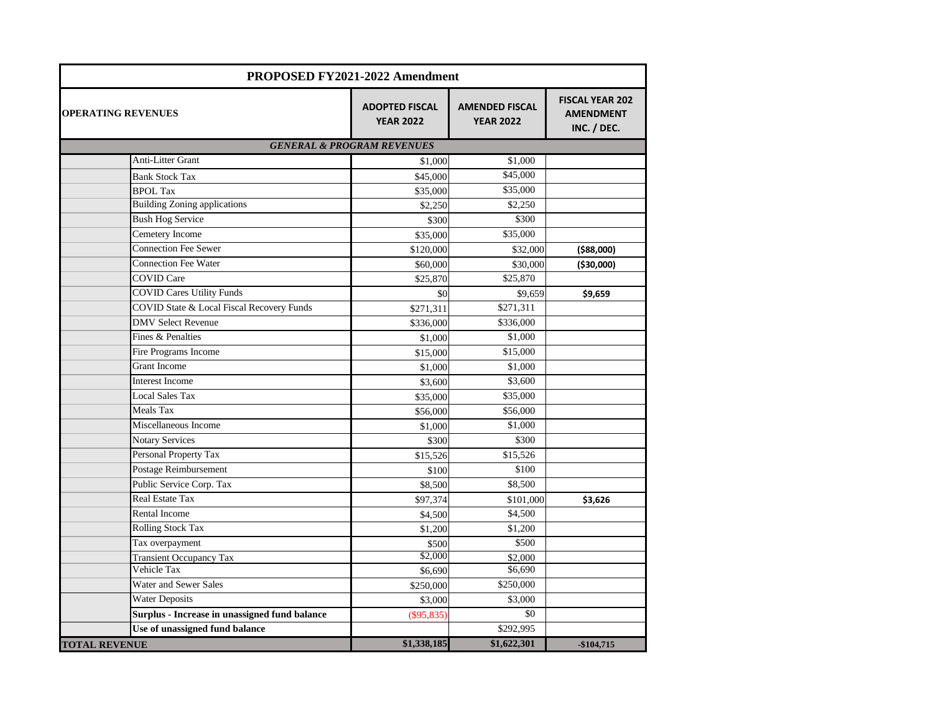| PROPOSED FY2021-2022 Amendment                |                                           |                                           |                                                           |  |  |
|-----------------------------------------------|-------------------------------------------|-------------------------------------------|-----------------------------------------------------------|--|--|
| <b>OPERATING REVENUES</b>                     | <b>ADOPTED FISCAL</b><br><b>YEAR 2022</b> | <b>AMENDED FISCAL</b><br><b>YEAR 2022</b> | <b>FISCAL YEAR 202</b><br><b>AMENDMENT</b><br>INC. / DEC. |  |  |
| <b>GENERAL &amp; PROGRAM REVENUES</b>         |                                           |                                           |                                                           |  |  |
| Anti-Litter Grant                             | \$1,000                                   | \$1,000                                   |                                                           |  |  |
| <b>Bank Stock Tax</b>                         | \$45,000                                  | \$45,000                                  |                                                           |  |  |
| <b>BPOL Tax</b>                               | \$35,000                                  | \$35,000                                  |                                                           |  |  |
| <b>Building Zoning applications</b>           | \$2,250                                   | \$2,250                                   |                                                           |  |  |
| <b>Bush Hog Service</b>                       | \$300                                     | \$300                                     |                                                           |  |  |
| Cemetery Income                               | \$35,000                                  | \$35,000                                  |                                                           |  |  |
| <b>Connection Fee Sewer</b>                   | \$120,000                                 | \$32,000                                  | ( \$88,000)                                               |  |  |
| <b>Connection Fee Water</b>                   | \$60,000                                  | \$30,000                                  | ( \$30,000)                                               |  |  |
| <b>COVID Care</b>                             | \$25,870                                  | \$25,870                                  |                                                           |  |  |
| <b>COVID Cares Utility Funds</b>              | \$0                                       | \$9,659                                   | \$9,659                                                   |  |  |
| COVID State & Local Fiscal Recovery Funds     | \$271,311                                 | \$271,311                                 |                                                           |  |  |
| <b>DMV</b> Select Revenue                     | \$336,000                                 | \$336,000                                 |                                                           |  |  |
| Fines & Penalties                             | \$1,000                                   | \$1,000                                   |                                                           |  |  |
| Fire Programs Income                          | \$15,000                                  | \$15,000                                  |                                                           |  |  |
| <b>Grant Income</b>                           | \$1,000                                   | \$1,000                                   |                                                           |  |  |
| <b>Interest Income</b>                        | \$3,600                                   | \$3,600                                   |                                                           |  |  |
| <b>Local Sales Tax</b>                        | \$35,000                                  | \$35,000                                  |                                                           |  |  |
| Meals Tax                                     | \$56,000                                  | \$56,000                                  |                                                           |  |  |
| Miscellaneous Income                          | \$1,000                                   | \$1,000                                   |                                                           |  |  |
| <b>Notary Services</b>                        | \$300                                     | \$300                                     |                                                           |  |  |
| Personal Property Tax                         | \$15,526                                  | \$15,526                                  |                                                           |  |  |
| Postage Reimbursement                         | \$100                                     | \$100                                     |                                                           |  |  |
| Public Service Corp. Tax                      | \$8,500                                   | \$8,500                                   |                                                           |  |  |
| <b>Real Estate Tax</b>                        | \$97,374                                  | \$101,000                                 | \$3,626                                                   |  |  |
| <b>Rental Income</b>                          | \$4,500                                   | \$4,500                                   |                                                           |  |  |
| <b>Rolling Stock Tax</b>                      | \$1,200                                   | \$1,200                                   |                                                           |  |  |
| Tax overpayment                               | \$500                                     | \$500                                     |                                                           |  |  |
| <b>Transient Occupancy Tax</b>                | \$2,000                                   | \$2,000                                   |                                                           |  |  |
| Vehicle Tax                                   | \$6,690                                   | \$6,690                                   |                                                           |  |  |
| Water and Sewer Sales                         | \$250,000                                 | \$250,000                                 |                                                           |  |  |
| <b>Water Deposits</b>                         | \$3,000                                   | \$3,000                                   |                                                           |  |  |
| Surplus - Increase in unassigned fund balance | $(\$95,835)$                              | \$0                                       |                                                           |  |  |
| Use of unassigned fund balance                |                                           | \$292,995                                 |                                                           |  |  |
| <b>TOTAL REVENUE</b>                          | \$1,338,185                               | \$1,622,301                               | $-$104,715$                                               |  |  |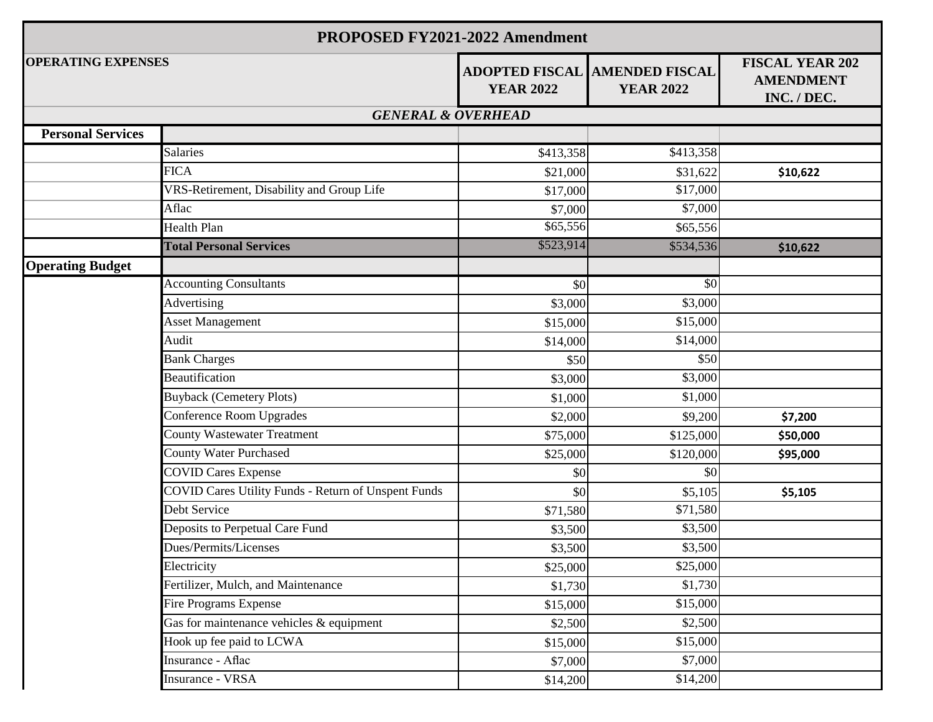| <b>PROPOSED FY2021-2022 Amendment</b> |                                                            |                  |                                                          |                                                           |  |  |  |
|---------------------------------------|------------------------------------------------------------|------------------|----------------------------------------------------------|-----------------------------------------------------------|--|--|--|
| <b>OPERATING EXPENSES</b>             |                                                            | <b>YEAR 2022</b> | <b>ADOPTED FISCAL AMENDED FISCAL</b><br><b>YEAR 2022</b> | <b>FISCAL YEAR 202</b><br><b>AMENDMENT</b><br>INC. / DEC. |  |  |  |
| <b>GENERAL &amp; OVERHEAD</b>         |                                                            |                  |                                                          |                                                           |  |  |  |
| <b>Personal Services</b>              |                                                            |                  |                                                          |                                                           |  |  |  |
|                                       | <b>Salaries</b>                                            | \$413,358        | \$413,358                                                |                                                           |  |  |  |
|                                       | <b>FICA</b>                                                | \$21,000         | \$31,622                                                 | \$10,622                                                  |  |  |  |
|                                       | VRS-Retirement, Disability and Group Life                  | \$17,000         | \$17,000                                                 |                                                           |  |  |  |
|                                       | Aflac                                                      | \$7,000          | \$7,000                                                  |                                                           |  |  |  |
|                                       | Health Plan                                                | \$65,556         | \$65,556                                                 |                                                           |  |  |  |
|                                       | <b>Total Personal Services</b>                             | \$523,914        | \$534,536                                                | \$10,622                                                  |  |  |  |
| <b>Operating Budget</b>               |                                                            |                  |                                                          |                                                           |  |  |  |
|                                       | <b>Accounting Consultants</b>                              | \$0              | \$0                                                      |                                                           |  |  |  |
|                                       | Advertising                                                | \$3,000          | \$3,000                                                  |                                                           |  |  |  |
|                                       | <b>Asset Management</b>                                    | \$15,000         | \$15,000                                                 |                                                           |  |  |  |
|                                       | Audit                                                      | \$14,000         | \$14,000                                                 |                                                           |  |  |  |
|                                       | <b>Bank Charges</b>                                        | \$50             | \$50                                                     |                                                           |  |  |  |
|                                       | Beautification                                             | \$3,000          | \$3,000                                                  |                                                           |  |  |  |
|                                       | <b>Buyback (Cemetery Plots)</b>                            | \$1,000          | \$1,000                                                  |                                                           |  |  |  |
|                                       | Conference Room Upgrades                                   | \$2,000          | \$9,200                                                  | \$7,200                                                   |  |  |  |
|                                       | <b>County Wastewater Treatment</b>                         | \$75,000         | \$125,000                                                | \$50,000                                                  |  |  |  |
|                                       | County Water Purchased                                     | \$25,000         | \$120,000                                                | \$95,000                                                  |  |  |  |
|                                       | <b>COVID Cares Expense</b>                                 | \$0              | \$0                                                      |                                                           |  |  |  |
|                                       | <b>COVID Cares Utility Funds - Return of Unspent Funds</b> | \$0              | \$5,105                                                  | \$5,105                                                   |  |  |  |
|                                       | Debt Service                                               | \$71,580         | \$71,580                                                 |                                                           |  |  |  |
|                                       | Deposits to Perpetual Care Fund                            | \$3,500          | \$3,500                                                  |                                                           |  |  |  |
|                                       | Dues/Permits/Licenses                                      | \$3,500          | \$3,500                                                  |                                                           |  |  |  |
|                                       | Electricity                                                | \$25,000         | \$25,000                                                 |                                                           |  |  |  |
|                                       | Fertilizer, Mulch, and Maintenance                         | \$1,730          | \$1,730                                                  |                                                           |  |  |  |
|                                       | Fire Programs Expense                                      | \$15,000         | \$15,000                                                 |                                                           |  |  |  |
|                                       | Gas for maintenance vehicles & equipment                   | \$2,500          | \$2,500                                                  |                                                           |  |  |  |
|                                       | Hook up fee paid to LCWA                                   | \$15,000         | \$15,000                                                 |                                                           |  |  |  |
|                                       | Insurance - Aflac                                          | \$7,000          | \$7,000                                                  |                                                           |  |  |  |
|                                       | <b>Insurance - VRSA</b>                                    | \$14,200         | \$14,200                                                 |                                                           |  |  |  |